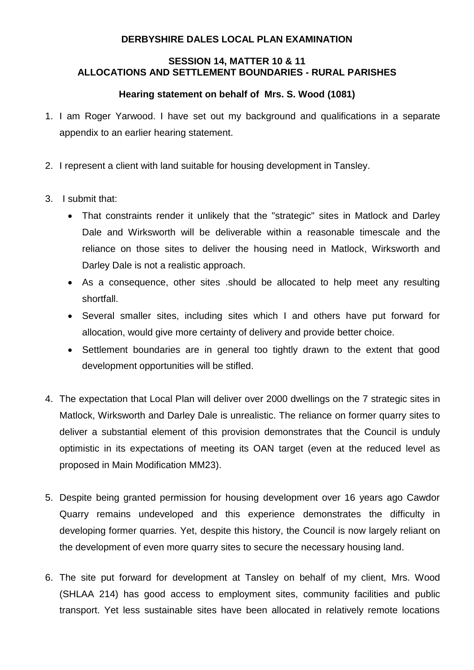## **DERBYSHIRE DALES LOCAL PLAN EXAMINATION**

## **SESSION 14, MATTER 10 & 11 ALLOCATIONS AND SETTLEMENT BOUNDARIES - RURAL PARISHES**

## **Hearing statement on behalf of Mrs. S. Wood (1081)**

- 1. I am Roger Yarwood. I have set out my background and qualifications in a separate appendix to an earlier hearing statement.
- 2. I represent a client with land suitable for housing development in Tansley.
- 3. I submit that:
	- That constraints render it unlikely that the "strategic" sites in Matlock and Darley Dale and Wirksworth will be deliverable within a reasonable timescale and the reliance on those sites to deliver the housing need in Matlock, Wirksworth and Darley Dale is not a realistic approach.
	- As a consequence, other sites .should be allocated to help meet any resulting shortfall.
	- Several smaller sites, including sites which I and others have put forward for allocation, would give more certainty of delivery and provide better choice.
	- Settlement boundaries are in general too tightly drawn to the extent that good development opportunities will be stifled.
- 4. The expectation that Local Plan will deliver over 2000 dwellings on the 7 strategic sites in Matlock, Wirksworth and Darley Dale is unrealistic. The reliance on former quarry sites to deliver a substantial element of this provision demonstrates that the Council is unduly optimistic in its expectations of meeting its OAN target (even at the reduced level as proposed in Main Modification MM23).
- 5. Despite being granted permission for housing development over 16 years ago Cawdor Quarry remains undeveloped and this experience demonstrates the difficulty in developing former quarries. Yet, despite this history, the Council is now largely reliant on the development of even more quarry sites to secure the necessary housing land.
- 6. The site put forward for development at Tansley on behalf of my client, Mrs. Wood (SHLAA 214) has good access to employment sites, community facilities and public transport. Yet less sustainable sites have been allocated in relatively remote locations